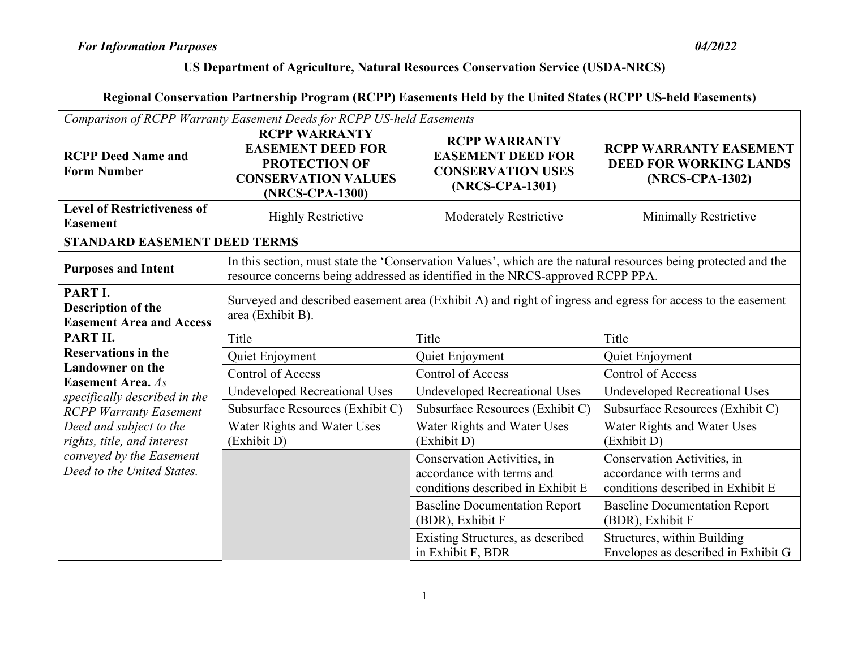| Comparison of RCPP Warranty Easement Deeds for RCPP US-held Easements                                              |                                                                                                                                                                                                  |                                                                                                 |                                                                                               |
|--------------------------------------------------------------------------------------------------------------------|--------------------------------------------------------------------------------------------------------------------------------------------------------------------------------------------------|-------------------------------------------------------------------------------------------------|-----------------------------------------------------------------------------------------------|
| <b>RCPP Deed Name and</b><br><b>Form Number</b>                                                                    | <b>RCPP WARRANTY</b><br><b>EASEMENT DEED FOR</b><br><b>PROTECTION OF</b><br><b>CONSERVATION VALUES</b><br>(NRCS-CPA-1300)                                                                        | <b>RCPP WARRANTY</b><br><b>EASEMENT DEED FOR</b><br><b>CONSERVATION USES</b><br>(NRCS-CPA-1301) | <b>RCPP WARRANTY EASEMENT</b><br><b>DEED FOR WORKING LANDS</b><br>(NRCS-CPA-1302)             |
| <b>Level of Restrictiveness of</b><br><b>Easement</b>                                                              | <b>Highly Restrictive</b>                                                                                                                                                                        | <b>Moderately Restrictive</b>                                                                   | Minimally Restrictive                                                                         |
| <b>STANDARD EASEMENT DEED TERMS</b>                                                                                |                                                                                                                                                                                                  |                                                                                                 |                                                                                               |
| <b>Purposes and Intent</b>                                                                                         | In this section, must state the 'Conservation Values', which are the natural resources being protected and the<br>resource concerns being addressed as identified in the NRCS-approved RCPP PPA. |                                                                                                 |                                                                                               |
| PART I.<br><b>Description of the</b><br><b>Easement Area and Access</b>                                            | Surveyed and described easement area (Exhibit A) and right of ingress and egress for access to the easement<br>area (Exhibit B).                                                                 |                                                                                                 |                                                                                               |
| PART II.                                                                                                           | Title                                                                                                                                                                                            | Title                                                                                           | Title                                                                                         |
| <b>Reservations in the</b><br><b>Landowner</b> on the<br><b>Easement Area.</b> As<br>specifically described in the | Quiet Enjoyment                                                                                                                                                                                  | Quiet Enjoyment                                                                                 | Quiet Enjoyment                                                                               |
|                                                                                                                    | <b>Control of Access</b>                                                                                                                                                                         | <b>Control of Access</b>                                                                        | <b>Control of Access</b>                                                                      |
|                                                                                                                    | <b>Undeveloped Recreational Uses</b>                                                                                                                                                             | <b>Undeveloped Recreational Uses</b>                                                            | <b>Undeveloped Recreational Uses</b>                                                          |
| <b>RCPP Warranty Easement</b>                                                                                      | Subsurface Resources (Exhibit C)                                                                                                                                                                 | Subsurface Resources (Exhibit C)                                                                | Subsurface Resources (Exhibit C)                                                              |
| Deed and subject to the<br>rights, title, and interest<br>conveyed by the Easement<br>Deed to the United States.   | Water Rights and Water Uses<br>(Exhibit D)                                                                                                                                                       | Water Rights and Water Uses<br>(Exhibit D)                                                      | Water Rights and Water Uses<br>(Exhibit D)                                                    |
|                                                                                                                    |                                                                                                                                                                                                  | Conservation Activities, in<br>accordance with terms and<br>conditions described in Exhibit E   | Conservation Activities, in<br>accordance with terms and<br>conditions described in Exhibit E |
|                                                                                                                    |                                                                                                                                                                                                  | <b>Baseline Documentation Report</b><br>(BDR), Exhibit F                                        | <b>Baseline Documentation Report</b><br>(BDR), Exhibit F                                      |
|                                                                                                                    |                                                                                                                                                                                                  | Existing Structures, as described<br>in Exhibit F, BDR                                          | Structures, within Building<br>Envelopes as described in Exhibit G                            |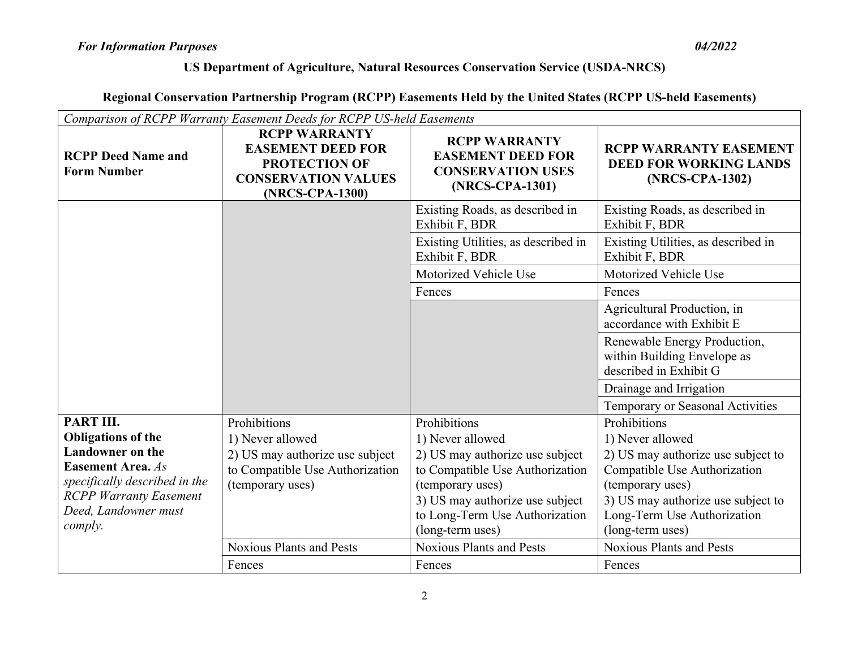| Comparison of RCPP Warranty Easement Deeds for RCPP US-held Easements                                                                                                                              |                                                                                                                            |                                                                                                                                                                                                                     |                                                                                                                                                                                                                     |
|----------------------------------------------------------------------------------------------------------------------------------------------------------------------------------------------------|----------------------------------------------------------------------------------------------------------------------------|---------------------------------------------------------------------------------------------------------------------------------------------------------------------------------------------------------------------|---------------------------------------------------------------------------------------------------------------------------------------------------------------------------------------------------------------------|
| <b>RCPP Deed Name and</b><br><b>Form Number</b>                                                                                                                                                    | <b>RCPP WARRANTY</b><br><b>EASEMENT DEED FOR</b><br><b>PROTECTION OF</b><br><b>CONSERVATION VALUES</b><br>(NRCS-CPA-1300)  | <b>RCPP WARRANTY</b><br><b>EASEMENT DEED FOR</b><br><b>CONSERVATION USES</b><br>(NRCS-CPA-1301)                                                                                                                     | <b>RCPP WARRANTY EASEMENT</b><br><b>DEED FOR WORKING LANDS</b><br>(NRCS-CPA-1302)                                                                                                                                   |
|                                                                                                                                                                                                    |                                                                                                                            | Existing Roads, as described in<br>Exhibit F, BDR                                                                                                                                                                   | Existing Roads, as described in<br>Exhibit F, BDR                                                                                                                                                                   |
|                                                                                                                                                                                                    |                                                                                                                            | Existing Utilities, as described in<br>Exhibit F, BDR                                                                                                                                                               | Existing Utilities, as described in<br>Exhibit F, BDR                                                                                                                                                               |
|                                                                                                                                                                                                    |                                                                                                                            | Motorized Vehicle Use                                                                                                                                                                                               | Motorized Vehicle Use                                                                                                                                                                                               |
|                                                                                                                                                                                                    |                                                                                                                            | Fences                                                                                                                                                                                                              | Fences                                                                                                                                                                                                              |
|                                                                                                                                                                                                    |                                                                                                                            |                                                                                                                                                                                                                     | Agricultural Production, in<br>accordance with Exhibit E                                                                                                                                                            |
|                                                                                                                                                                                                    |                                                                                                                            |                                                                                                                                                                                                                     | Renewable Energy Production,<br>within Building Envelope as<br>described in Exhibit G                                                                                                                               |
|                                                                                                                                                                                                    |                                                                                                                            |                                                                                                                                                                                                                     | Drainage and Irrigation                                                                                                                                                                                             |
|                                                                                                                                                                                                    |                                                                                                                            |                                                                                                                                                                                                                     | Temporary or Seasonal Activities                                                                                                                                                                                    |
| PART III.<br><b>Obligations of the</b><br><b>Landowner</b> on the<br><b>Easement Area.</b> As<br>specifically described in the<br><b>RCPP Warranty Easement</b><br>Deed, Landowner must<br>comply. | Prohibitions<br>1) Never allowed<br>2) US may authorize use subject<br>to Compatible Use Authorization<br>(temporary uses) | Prohibitions<br>1) Never allowed<br>2) US may authorize use subject<br>to Compatible Use Authorization<br>(temporary uses)<br>3) US may authorize use subject<br>to Long-Term Use Authorization<br>(long-term uses) | Prohibitions<br>1) Never allowed<br>2) US may authorize use subject to<br>Compatible Use Authorization<br>(temporary uses)<br>3) US may authorize use subject to<br>Long-Term Use Authorization<br>(long-term uses) |
|                                                                                                                                                                                                    | <b>Noxious Plants and Pests</b>                                                                                            | <b>Noxious Plants and Pests</b>                                                                                                                                                                                     | <b>Noxious Plants and Pests</b>                                                                                                                                                                                     |
|                                                                                                                                                                                                    | Fences                                                                                                                     | Fences                                                                                                                                                                                                              | Fences                                                                                                                                                                                                              |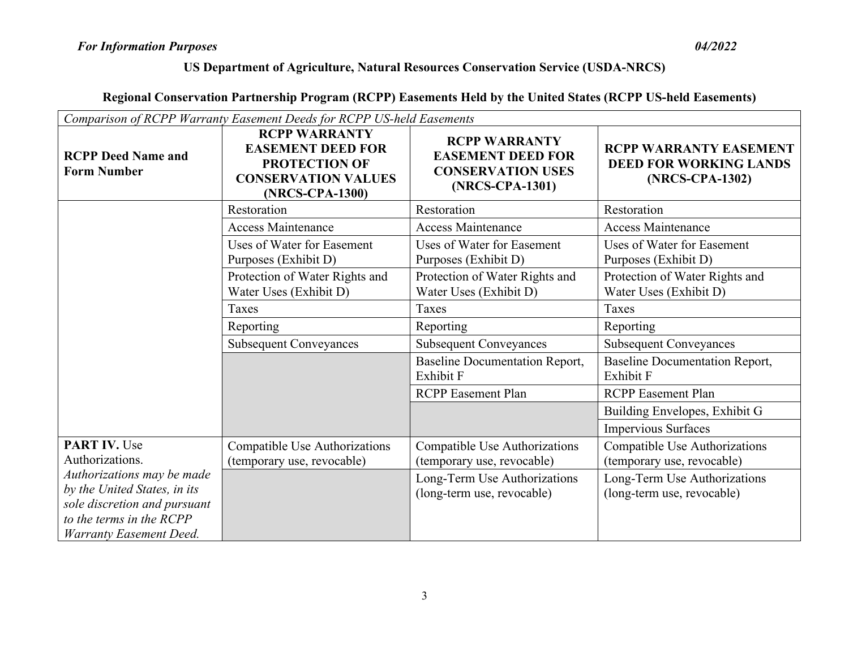| Comparison of RCPP Warranty Easement Deeds for RCPP US-held Easements                                                  |                                                                                                                           |                                                                                                 |                                                                                   |
|------------------------------------------------------------------------------------------------------------------------|---------------------------------------------------------------------------------------------------------------------------|-------------------------------------------------------------------------------------------------|-----------------------------------------------------------------------------------|
| <b>RCPP Deed Name and</b><br><b>Form Number</b>                                                                        | <b>RCPP WARRANTY</b><br><b>EASEMENT DEED FOR</b><br><b>PROTECTION OF</b><br><b>CONSERVATION VALUES</b><br>(NRCS-CPA-1300) | <b>RCPP WARRANTY</b><br><b>EASEMENT DEED FOR</b><br><b>CONSERVATION USES</b><br>(NRCS-CPA-1301) | <b>RCPP WARRANTY EASEMENT</b><br><b>DEED FOR WORKING LANDS</b><br>(NRCS-CPA-1302) |
|                                                                                                                        | Restoration                                                                                                               | Restoration                                                                                     | Restoration                                                                       |
|                                                                                                                        | <b>Access Maintenance</b>                                                                                                 | <b>Access Maintenance</b>                                                                       | <b>Access Maintenance</b>                                                         |
|                                                                                                                        | Uses of Water for Easement<br>Purposes (Exhibit D)                                                                        | <b>Uses of Water for Easement</b><br>Purposes (Exhibit D)                                       | Uses of Water for Easement<br>Purposes (Exhibit D)                                |
|                                                                                                                        | Protection of Water Rights and<br>Water Uses (Exhibit D)                                                                  | Protection of Water Rights and<br>Water Uses (Exhibit D)                                        | Protection of Water Rights and<br>Water Uses (Exhibit D)                          |
|                                                                                                                        | Taxes                                                                                                                     | <b>Taxes</b>                                                                                    | Taxes                                                                             |
|                                                                                                                        | Reporting                                                                                                                 | Reporting                                                                                       | Reporting                                                                         |
|                                                                                                                        | <b>Subsequent Conveyances</b>                                                                                             | <b>Subsequent Conveyances</b>                                                                   | <b>Subsequent Conveyances</b>                                                     |
|                                                                                                                        |                                                                                                                           | <b>Baseline Documentation Report,</b><br>Exhibit F                                              | <b>Baseline Documentation Report,</b><br>Exhibit F                                |
|                                                                                                                        |                                                                                                                           | <b>RCPP</b> Easement Plan                                                                       | <b>RCPP</b> Easement Plan                                                         |
|                                                                                                                        |                                                                                                                           |                                                                                                 | Building Envelopes, Exhibit G                                                     |
|                                                                                                                        |                                                                                                                           |                                                                                                 | Impervious Surfaces                                                               |
| <b>PART IV. Use</b>                                                                                                    | Compatible Use Authorizations                                                                                             | Compatible Use Authorizations                                                                   | Compatible Use Authorizations                                                     |
| Authorizations.                                                                                                        | (temporary use, revocable)                                                                                                | (temporary use, revocable)                                                                      | (temporary use, revocable)                                                        |
| Authorizations may be made<br>by the United States, in its<br>sole discretion and pursuant<br>to the terms in the RCPP |                                                                                                                           | Long-Term Use Authorizations<br>(long-term use, revocable)                                      | Long-Term Use Authorizations<br>(long-term use, revocable)                        |
| <b>Warranty Easement Deed.</b>                                                                                         |                                                                                                                           |                                                                                                 |                                                                                   |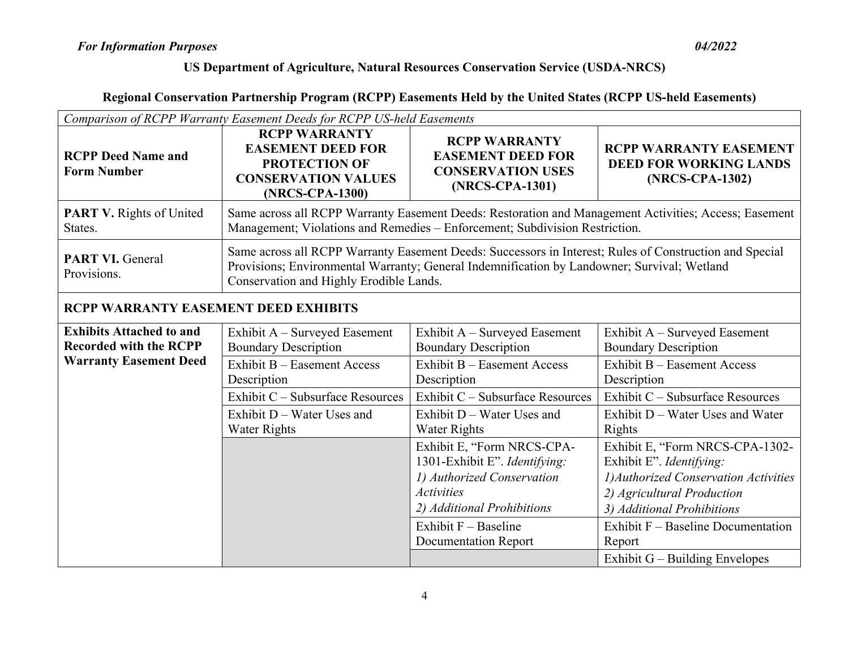| Comparison of RCPP Warranty Easement Deeds for RCPP US-held Easements |                                                                                                                                                                                                                                                   |                                                                                                                                                                                                       |                                                                                                                                                                                                                  |
|-----------------------------------------------------------------------|---------------------------------------------------------------------------------------------------------------------------------------------------------------------------------------------------------------------------------------------------|-------------------------------------------------------------------------------------------------------------------------------------------------------------------------------------------------------|------------------------------------------------------------------------------------------------------------------------------------------------------------------------------------------------------------------|
| <b>RCPP Deed Name and</b><br><b>Form Number</b>                       | <b>RCPP WARRANTY</b><br><b>EASEMENT DEED FOR</b><br><b>PROTECTION OF</b><br><b>CONSERVATION VALUES</b><br>(NRCS-CPA-1300)                                                                                                                         | <b>RCPP WARRANTY</b><br><b>EASEMENT DEED FOR</b><br><b>CONSERVATION USES</b><br>(NRCS-CPA-1301)                                                                                                       | <b>RCPP WARRANTY EASEMENT</b><br><b>DEED FOR WORKING LANDS</b><br>(NRCS-CPA-1302)                                                                                                                                |
| <b>PART V.</b> Rights of United<br>States.                            |                                                                                                                                                                                                                                                   | Management; Violations and Remedies - Enforcement; Subdivision Restriction.                                                                                                                           | Same across all RCPP Warranty Easement Deeds: Restoration and Management Activities; Access; Easement                                                                                                            |
| <b>PART VI. General</b><br>Provisions.                                | Same across all RCPP Warranty Easement Deeds: Successors in Interest; Rules of Construction and Special<br>Provisions; Environmental Warranty; General Indemnification by Landowner; Survival; Wetland<br>Conservation and Highly Erodible Lands. |                                                                                                                                                                                                       |                                                                                                                                                                                                                  |
| <b>RCPP WARRANTY EASEMENT DEED EXHIBITS</b>                           |                                                                                                                                                                                                                                                   |                                                                                                                                                                                                       |                                                                                                                                                                                                                  |
| <b>Exhibits Attached to and</b><br><b>Recorded with the RCPP</b>      | Exhibit A – Surveyed Easement<br><b>Boundary Description</b>                                                                                                                                                                                      | Exhibit A – Surveyed Easement<br><b>Boundary Description</b>                                                                                                                                          | Exhibit A – Surveyed Easement<br><b>Boundary Description</b>                                                                                                                                                     |
| <b>Warranty Easement Deed</b>                                         | <b>Exhibit B - Easement Access</b><br>Description                                                                                                                                                                                                 | Exhibit B - Easement Access<br>Description                                                                                                                                                            | <b>Exhibit B - Easement Access</b><br>Description                                                                                                                                                                |
|                                                                       | Exhibit C – Subsurface Resources                                                                                                                                                                                                                  | Exhibit C – Subsurface Resources                                                                                                                                                                      | Exhibit C - Subsurface Resources                                                                                                                                                                                 |
|                                                                       | Exhibit D – Water Uses and<br><b>Water Rights</b>                                                                                                                                                                                                 | Exhibit D - Water Uses and<br><b>Water Rights</b>                                                                                                                                                     | Exhibit D - Water Uses and Water<br>Rights                                                                                                                                                                       |
|                                                                       |                                                                                                                                                                                                                                                   | Exhibit E, "Form NRCS-CPA-<br>1301-Exhibit E". Identifying:<br>1) Authorized Conservation<br><b>Activities</b><br>2) Additional Prohibitions<br>Exhibit $F -$ Baseline<br><b>Documentation Report</b> | Exhibit E, "Form NRCS-CPA-1302-<br>Exhibit E". Identifying:<br>1) Authorized Conservation Activities<br>2) Agricultural Production<br>3) Additional Prohibitions<br>Exhibit F - Baseline Documentation<br>Report |
|                                                                       |                                                                                                                                                                                                                                                   |                                                                                                                                                                                                       | Exhibit $G -$ Building Envelopes                                                                                                                                                                                 |